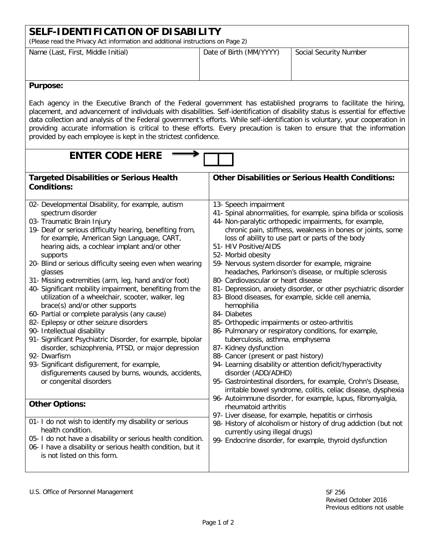| SELF-IDENTIFICATION OF DISABILITY<br>(Please read the Privacy Act information and additional instructions on Page 2)                                                                                                                                                                                                                                                                                                                                                                                                                                                             |                         |                        |  |
|----------------------------------------------------------------------------------------------------------------------------------------------------------------------------------------------------------------------------------------------------------------------------------------------------------------------------------------------------------------------------------------------------------------------------------------------------------------------------------------------------------------------------------------------------------------------------------|-------------------------|------------------------|--|
| Name (Last, First, Middle Initial)                                                                                                                                                                                                                                                                                                                                                                                                                                                                                                                                               | Date of Birth (MM/YYYY) | Social Security Number |  |
| <b>Purpose:</b>                                                                                                                                                                                                                                                                                                                                                                                                                                                                                                                                                                  |                         |                        |  |
| Each agency in the Executive Branch of the Federal government has established programs to facilitate the hiring,<br>placement, and advancement of individuals with disabilities. Self-identification of disability status is essential for effective<br>data collection and analysis of the Federal government's efforts. While self-identification is voluntary, your cooperation in<br>providing accurate information is critical to these efforts. Every precaution is taken to ensure that the information<br>provided by each employee is kept in the strictest confidence. |                         |                        |  |

| <b>ENTER CODE HERE</b>                                                                                                                                                                                                                                                                                                                                                                                                                                                                                                                                                                                                                                                                                                                                                                                                                                                                                                                                       |                                                                                                                                                                                                                                                                                                                                                                                                                                                                                                                                                                                                                                                                                                                                                                                                                                                                                                                                                                                                                                                                                                                                       |  |
|--------------------------------------------------------------------------------------------------------------------------------------------------------------------------------------------------------------------------------------------------------------------------------------------------------------------------------------------------------------------------------------------------------------------------------------------------------------------------------------------------------------------------------------------------------------------------------------------------------------------------------------------------------------------------------------------------------------------------------------------------------------------------------------------------------------------------------------------------------------------------------------------------------------------------------------------------------------|---------------------------------------------------------------------------------------------------------------------------------------------------------------------------------------------------------------------------------------------------------------------------------------------------------------------------------------------------------------------------------------------------------------------------------------------------------------------------------------------------------------------------------------------------------------------------------------------------------------------------------------------------------------------------------------------------------------------------------------------------------------------------------------------------------------------------------------------------------------------------------------------------------------------------------------------------------------------------------------------------------------------------------------------------------------------------------------------------------------------------------------|--|
| <b>Targeted Disabilities or Serious Health</b><br><b>Conditions:</b>                                                                                                                                                                                                                                                                                                                                                                                                                                                                                                                                                                                                                                                                                                                                                                                                                                                                                         | <b>Other Disabilities or Serious Health Conditions:</b>                                                                                                                                                                                                                                                                                                                                                                                                                                                                                                                                                                                                                                                                                                                                                                                                                                                                                                                                                                                                                                                                               |  |
| 02- Developmental Disability, for example, autism<br>spectrum disorder<br>03- Traumatic Brain Injury<br>19- Deaf or serious difficulty hearing, benefiting from,<br>for example, American Sign Language, CART,<br>hearing aids, a cochlear implant and/or other<br>supports<br>20- Blind or serious difficulty seeing even when wearing<br>glasses<br>31- Missing extremities (arm, leg, hand and/or foot)<br>40- Significant mobility impairment, benefiting from the<br>utilization of a wheelchair, scooter, walker, leg<br>brace(s) and/or other supports<br>60- Partial or complete paralysis (any cause)<br>82- Epilepsy or other seizure disorders<br>90- Intellectual disability<br>91- Significant Psychiatric Disorder, for example, bipolar<br>disorder, schizophrenia, PTSD, or major depression<br>92- Dwarfism<br>93- Significant disfigurement, for example,<br>disfigurements caused by burns, wounds, accidents,<br>or congenital disorders | 13- Speech impairment<br>41- Spinal abnormalities, for example, spina bifida or scoliosis<br>44- Non-paralytic orthopedic impairments, for example,<br>chronic pain, stiffness, weakness in bones or joints, some<br>loss of ability to use part or parts of the body<br>51- HIV Positive/AIDS<br>52- Morbid obesity<br>59- Nervous system disorder for example, migraine<br>headaches, Parkinson's disease, or multiple sclerosis<br>80- Cardiovascular or heart disease<br>81- Depression, anxiety disorder, or other psychiatric disorder<br>83- Blood diseases, for example, sickle cell anemia,<br>hemophilia<br>84- Diabetes<br>85- Orthopedic impairments or osteo-arthritis<br>86- Pulmonary or respiratory conditions, for example,<br>tuberculosis, asthma, emphysema<br>87- Kidney dysfunction<br>88- Cancer (present or past history)<br>94- Learning disability or attention deficit/hyperactivity<br>disorder (ADD/ADHD)<br>95- Gastrointestinal disorders, for example, Crohn's Disease,<br>irritable bowel syndrome, colitis, celiac disease, dysphexia<br>96- Autoimmune disorder, for example, lupus, fibromyalgia, |  |
| <b>Other Options:</b>                                                                                                                                                                                                                                                                                                                                                                                                                                                                                                                                                                                                                                                                                                                                                                                                                                                                                                                                        | rheumatoid arthritis<br>97- Liver disease, for example, hepatitis or cirrhosis                                                                                                                                                                                                                                                                                                                                                                                                                                                                                                                                                                                                                                                                                                                                                                                                                                                                                                                                                                                                                                                        |  |
| 01- I do not wish to identify my disability or serious<br>health condition.<br>05- I do not have a disability or serious health condition.<br>06- I have a disability or serious health condition, but it<br>is not listed on this form.                                                                                                                                                                                                                                                                                                                                                                                                                                                                                                                                                                                                                                                                                                                     | 98- History of alcoholism or history of drug addiction (but not<br>currently using illegal drugs)<br>99- Endocrine disorder, for example, thyroid dysfunction                                                                                                                                                                                                                                                                                                                                                                                                                                                                                                                                                                                                                                                                                                                                                                                                                                                                                                                                                                         |  |